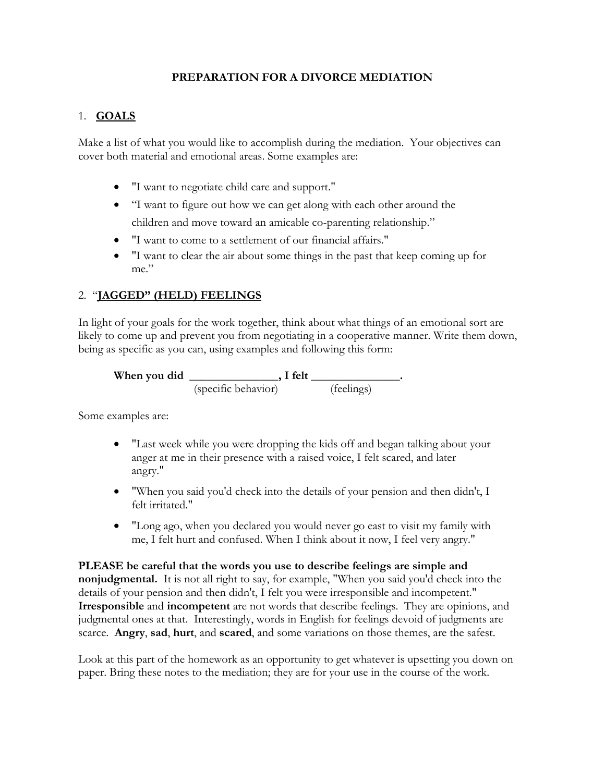## **PREPARATION FOR A DIVORCE MEDIATION**

## 1. **GOALS**

Make a list of what you would like to accomplish during the mediation. Your objectives can cover both material and emotional areas. Some examples are:

- "I want to negotiate child care and support."
- "I want to figure out how we can get along with each other around the

children and move toward an amicable co-parenting relationship."

- "I want to come to a settlement of our financial affairs."
- "I want to clear the air about some things in the past that keep coming up for me."

## 2. "**JAGGED" (HELD) FEELINGS**

In light of your goals for the work together, think about what things of an emotional sort are likely to come up and prevent you from negotiating in a cooperative manner. Write them down, being as specific as you can, using examples and following this form:

When you did \_\_\_\_\_\_\_\_\_\_\_\_\_\_\_\_, I felt \_\_\_\_\_\_\_\_\_\_\_\_\_\_\_\_\_. (specific behavior) (feelings)

Some examples are:

- "Last week while you were dropping the kids off and began talking about your anger at me in their presence with a raised voice, I felt scared, and later angry."
- "When you said you'd check into the details of your pension and then didn't, I felt irritated."
- "Long ago, when you declared you would never go east to visit my family with me, I felt hurt and confused. When I think about it now, I feel very angry."

**PLEASE be careful that the words you use to describe feelings are simple and nonjudgmental.** It is not all right to say, for example, "When you said you'd check into the details of your pension and then didn't, I felt you were irresponsible and incompetent." **Irresponsible** and **incompetent** are not words that describe feelings. They are opinions, and judgmental ones at that. Interestingly, words in English for feelings devoid of judgments are scarce. **Angry**, **sad**, **hurt**, and **scared**, and some variations on those themes, are the safest.

Look at this part of the homework as an opportunity to get whatever is upsetting you down on paper. Bring these notes to the mediation; they are for your use in the course of the work.